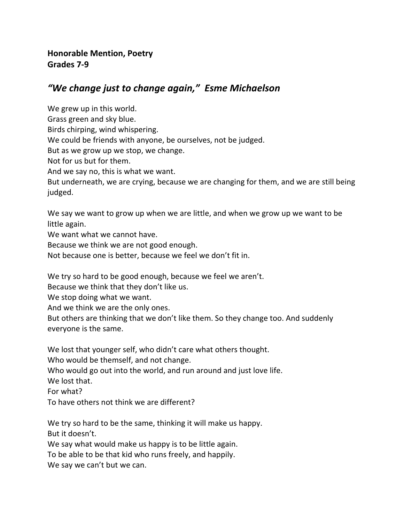## *"We change just to change again," Esme Michaelson*

We grew up in this world. Grass green and sky blue. Birds chirping, wind whispering. We could be friends with anyone, be ourselves, not be judged. But as we grow up we stop, we change. Not for us but for them. And we say no, this is what we want. But underneath, we are crying, because we are changing for them, and we are still being judged.

We say we want to grow up when we are little, and when we grow up we want to be little again.

We want what we cannot have.

Because we think we are not good enough.

Not because one is better, because we feel we don't fit in.

We try so hard to be good enough, because we feel we aren't.

Because we think that they don't like us.

We stop doing what we want.

And we think we are the only ones.

But others are thinking that we don't like them. So they change too. And suddenly everyone is the same.

We lost that younger self, who didn't care what others thought.

Who would be themself, and not change.

Who would go out into the world, and run around and just love life.

We lost that.

For what?

To have others not think we are different?

We try so hard to be the same, thinking it will make us happy. But it doesn't.

We say what would make us happy is to be little again.

To be able to be that kid who runs freely, and happily.

We say we can't but we can.